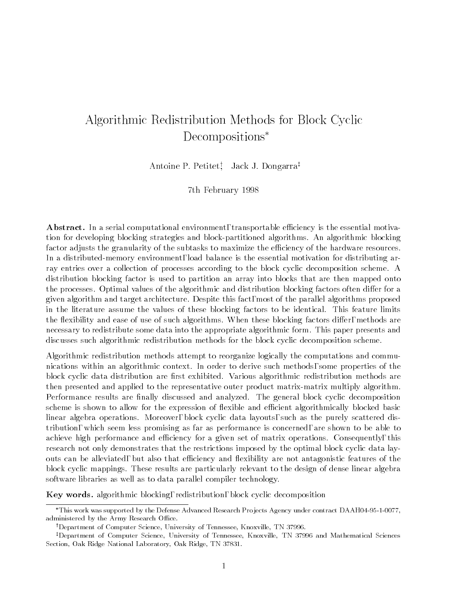# Algorithmic Redistribution Methods for Block Cyclic Decompositions

Antoine P. Petitet, Jack J. Dongarraz

7th February 1998

Abstract. In a serial computational environment, transportable efficiency is the essential motivation for developing blocking strategies and block-partitioned algorithms. An algorithmic blocking factor adjusts the granularity of the subtasks to maximize the efficiency of the hardware resources. In a distributed-memory environment, load balance is the essential motivation for distributing array entries over a collection of processes according to the block cyclic decomposition scheme. A distribution blocking factor is used to partition an array into blocks that are then mapped onto the processes. Optimal values of the algorithmic and distribution blocking factors often differ for a given algorithm and target architecture. Despite this fact, most of the parallel algorithms proposed in the literature assume the values of these blocking factors to be identical. This feature limits the flexibility and ease of use of such algorithms. When these blocking factors differ, methods are necessary to redistribute some data into the appropriate algorithmic form. This paper presents and discusses such algorithmic redistribution methods for the block cyclic decomposition scheme.

Algorithmic redistribution methods attempt to reorganize logically the computations and communications within an algorithmic context. In order to derive such methods, some properties of the block cyclic data distribution are first exhibited. Various algorithmic redistribution methods are then presented and applied to the representative outer product matrix-matrix multiply algorithm. Performance results are finally discussed and analyzed. The general block cyclic decomposition scheme is shown to allow for the expression of flexible and efficient algorithmically blocked basic linear algebra operations. Moreover, block cyclic data layouts, such as the purely scattered distribution, which seem less promising as far as performance is concerned, are shown to be able to achieve high performance and efficiency for a given set of matrix operations. Consequently, this research not only demonstrates that the restrictions imposed by the optimal block cyclic data layouts can be alleviated, but also that efficiency and flexibility are not antagonistic features of the block cyclic mappings. These results are particularly relevant to the design of dense linear algebra software libraries as well as to data parallel compiler technology.

Key words. algorithmic blocking, redistribution, block cyclic decomposition

This work was supported by the Defense Advanced Research Pro jects Agency under contract DAAH04-95-1-0077, administered by the Army Research Office.

<sup>&</sup>lt;sup>†</sup>Department of Computer Science, University of Tennessee, Knoxville, TN 37996.

<sup>&</sup>lt;sup>‡</sup>Department of Computer Science, University of Tennessee, Knoxville, TN 37996 and Mathematical Sciences Section, Oak Ridge National Laboratory, Oak Ridge, TN 37831.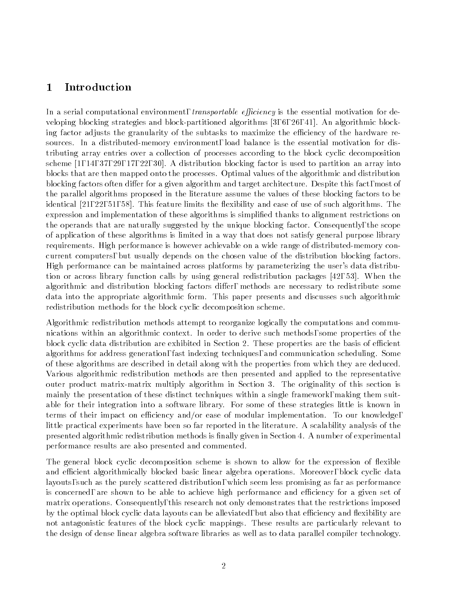# 1 Introduction

In a serial computational environment, transportable efficiency is the essential motivation for developing blocking strategies and block-partitioned algorithms [3, 6, 26, 41]. An algorithmic blocking factor adjusts the granularity of the subtasks to maximize the efficiency of the hardware resources. In a distributed-memory environment, load balance is the essential motivation for distributing array entries over a collection of processes according to the block cyclic decomposition scheme [1, 14, 37, 29, 17, 22, 30]. A distribution blocking factor is used to partition an array into blocks that are then mapped onto the processes. Optimal values of the algorithmic and distribution blocking factors often differ for a given algorithm and target architecture. Despite this fact, most of the parallel algorithms proposed in the literature assume the values of these blocking factors to be identical  $[21, 22, 51, 58]$ . This feature limits the flexibility and ease of use of such algorithms. The expression and implementation of these algorithms is simplied thanks to alignment restrictions on the operands that are naturally suggested by the unique blocking factor. Consequently, the scope of application of these algorithms is limited in a way that does not satisfy general purpose library requirements. High performance is however achievable on a wide range of distributed-memory concurrent computers, but usually depends on the chosen value of the distribution blocking factors. High performance can be maintained across platforms by parameterizing the user's data distribution or across library function calls by using general redistribution packages [42, 53]. When the algorithmic and distribution blocking factors differ, methods are necessary to redistribute some data into the appropriate algorithmic form. This paper presents and discusses such algorithmic redistribution methods for the block cyclic decomposition scheme.

Algorithmic redistribution methods attempt to reorganize logically the computations and communications within an algorithmic context. In order to derive such methods, some properties of the block cyclic data distribution are exhibited in Section 2. These properties are the basis of efficient algorithms for address generation, fast indexing techniques, and communication scheduling. Some of these algorithms are described in detail along with the properties from which they are deduced. Various algorithmic redistribution methods are then presented and applied to the representative outer product matrix-matrix multiply algorithm in Section 3. The originality of this section is mainly the presentation of these distinct techniques within a single framework, making them suitable for their integration into a software library. For some of these strategies little is known in terms of their impact on efficiency and/or ease of modular implementation. To our knowledge, little practical experiments have been so far reported in the literature. A scalability analysis of the presented algorithmic redistribution methods is finally given in Section 4. A number of experimental performance results are also presented and commented.

The general block cyclic decomposition scheme is shown to allow for the expression of flexible and efficient algorithmically blocked basic linear algebra operations. Moreover, block cyclic data layouts, such as the purely scattered distribution, which seem less promising as far as performance is concerned, are shown to be able to achieve high performance and efficiency for a given set of matrix operations. Consequently, this research not only demonstrates that the restrictions imposed by the optimal block cyclic data layouts can be alleviated, but also that efficiency and flexibility are not antagonistic features of the block cyclic mappings. These results are particularly relevant to the design of dense linear algebra software libraries as well as to data parallel compiler technology.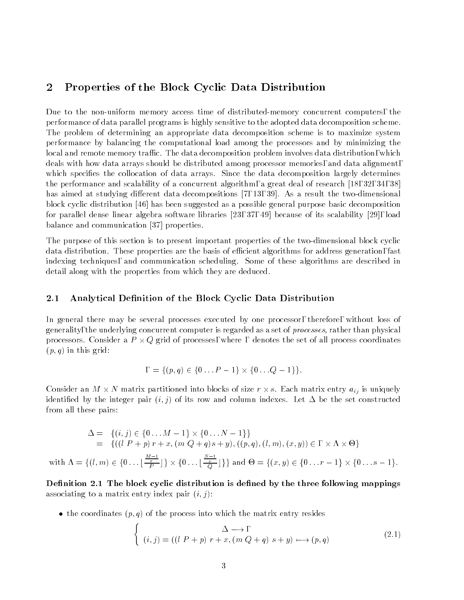# 2 Properties of the Block Cyclic Data Distribution

Due to the non-uniform memory access time of distributed-memory concurrent computers, the performance of data parallel programs is highly sensitive to the adopted data decomposition scheme. The problem of determining an appropriate data decomposition scheme is to maximize system performance by balancing the computational load among the processors and by minimizing the local and remote memory traffic. The data decomposition problem involves data distribution, which deals with how data arrays should be distributed among processor memories, and data alignment, which specifies the collocation of data arrays. Since the data decomposition largely determines the performance and scalability of a concurrent algorithm, a great deal of research [18, 32, 34, 38] has aimed at studying different data decompositions [7, 13, 39]. As a result the two-dimensional block cyclic distribution [46] has been suggested as a possible general purpose basic decomposition for parallel dense linear algebra software libraries [23, 37, 49] because of its scalability [29], load balance and communication [37] properties.

The purpose of this section is to present important properties of the two-dimensional block cyclic data distribution. These properties are the basis of efficient algorithms for address generation, fast indexing techniques, and communication scheduling. Some of these algorithms are described in detail along with the properties from which they are deduced.

#### 2.1 Analytical Definition of the Block Cyclic Data Distribution

In general there may be several processes executed by one processor, therefore, without loss of generality, the underlying concurrent computer is regarded as a set of processes, rather than physical processes, consider a P - Q grid of processes, where it also the set of processes the set of all processes and  $(p, q)$  in this grid:

$$
= \{(p,q) \in \{0 \dots P-1\} \times \{0 \dots Q-1\} \}.
$$

Consider an M - N matrix partitioned into blocks of size r - s. Each matrix entry aij is uniquely identified by the integer pair  $(i, j)$  of its row and column indexes. Let  $\Delta$  be the set constructed from all these pairs:

$$
\Delta = \{ (i, j) \in \{0 \dots M - 1\} \times \{0 \dots N - 1\} \}
$$
  
=  $\{ ((l P + p) r + x, (m Q + q) s + y), ((p, q), (l, m), (x, y)) \in \{0, \dots N - 1\} \times \{0, \dots \lfloor \frac{M-1}{p} \rfloor \} \times \{0, \dots \lfloor \frac{N-1}{q} \rfloor \} \}$  and  $\Theta = \{ (x, y) \in \{0 \dots r - 1\} \times \{0 \dots s - 1\}.$ 

Definition 2.1 The block cyclic distribution is defined by the three following mappings associating to a matrix entry index pair  $(i, j)$ :

• the coordinates  $(p,q)$  of the process into which the matrix entry resides

$$
\begin{cases}\n\Delta \longrightarrow, \\
(i,j) = ((l P + p) r + x, (m Q + q) s + y) \longmapsto (p, q)\n\end{cases}
$$
\n(2.1)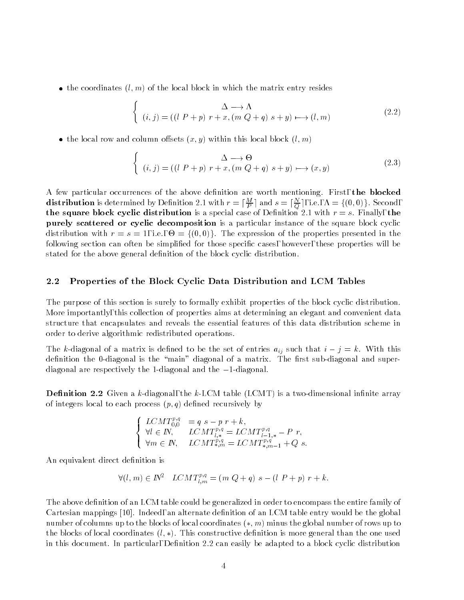• the coordinates  $(l, m)$  of the local block in which the matrix entry resides

$$
\begin{cases}\n\Delta \longrightarrow \Lambda \\
(i,j) = ((l \ P + p) \ r + x, (m \ Q + q) \ s + y) \longmapsto (l, m)\n\end{cases}
$$
\n(2.2)

• the local row and column offsets  $(x, y)$  within this local block  $(l, m)$ 

$$
\begin{cases}\n\Delta \longrightarrow \Theta \\
(i,j) = ((l \ P + p) \ r + x, (m \ Q + q) \ s + y) \longmapsto (x, y)\n\end{cases} (2.3)
$$

A few particular occurrences of the above definition are worth mentioning. First, the blocked **distribution** is determined by Definition 2.1 with  $r = |\overline{p}|$  and  $s = |\overline{\partial}|$ , i.e.,  $\Lambda = \{(0,0)\}$ . Second, the square block cyclic distribution is a special case of Definition 2.1 with  $r = s$ . Finally, the purely scattered or cyclic decomposition is a particular instance of the square block cyclic distribution with r = 1, i.e., - 1, i.e., - 1, i.e., - 1, i.e., - 1, i.e., i.e., i.e., i.e., i.e., i.e., i.e., following section can often be simplified for those specific cases, however, these properties will be stated for the above general definition of the block cyclic distribution.

#### 2.2 Properties of the Block Cyclic Data Distribution and LCM Tables

The purpose of this section is surely to formally exhibit properties of the block cyclic distribution. More importantly, this collection of properties aims at determining an elegant and convenient data structure that encapsulates and reveals the essential features of this data distribution scheme in order to derive algorithmic redistributed operations.

The k-diagonal of a matrix is defined to be the set of entries  $a_{ij}$  such that  $i - j = k$ . With this definition the 0-diagonal is the "main" diagonal of a matrix. The first sub-diagonal and superdiagonal are respectively the 1-diagonal and the  $-1$ -diagonal.

**Definition 2.2** Given a k-diagonal, the k-LCM table (LCMT) is a two-dimensional infinite array of integers local to each process  $(p, q)$  defined recursively by

$$
\begin{cases}\nLCMT_{0,0}^{p,q} = q s - p r + k, \\
\forall l \in \mathbb{N}, & LCMT_{l,*}^{p,q} = LCMT_{l-1,*}^{p,q} - P r, \\
\forall m \in \mathbb{N}, & LCMT_{*,m}^{p,q} = LCMT_{*,m-1}^{p,q} + Q s.\n\end{cases}
$$

An equivalent direct definition is

$$
\forall (l,m) \in \mathbb{N}^2 \quad LCMT_{l,m}^{p,q} = (m \ Q + q) \ s - (l \ P + p) \ r + k.
$$

The above definition of an LCM table could be generalized in order to encompass the entire family of Cartesian mappings [10]. Indeed, an alternate definition of an LCM table entry would be the global number of columns up to the blocks of local coordinates  $(*, m)$  minus the global number of rows up to the blocks of local coordinates  $(l, *)$ . This constructive definition is more general than the one used in this document. In particular, Definition 2.2 can easily be adapted to a block cyclic distribution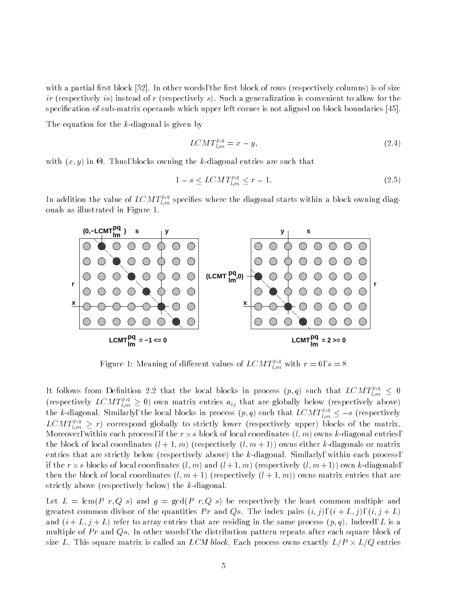with a partial first block  $[52]$ . In other words, the first block of rows (respectively columns) is of size ir (respectively is) instead of r (respectively s). Such a generalization is convenient to allow for the specication of sub-matrix operands which upper left corner is not aligned on block boundaries [45].

The equation for the k-diagonal is given by

$$
LCMT_{l,m}^{p,q} = x - y,\tag{2.4}
$$

with  $\mathcal{X}$  in  $\mathcal{X}$  in  $\mathcal{Y}$  in  $\mathcal{Y}$  in  $\mathcal{Y}$  in  $\mathcal{Y}$  in  $\mathcal{Y}$  in  $\mathcal{Y}$  in  $\mathcal{Y}$  in  $\mathcal{Y}$  in  $\mathcal{Y}$  in  $\mathcal{Y}$  in  $\mathcal{Y}$  in  $\mathcal{Y}$  in  $\mathcal{Y}$  in  $\mathcal{Y}$  in  $\mathcal{Y}$  in  $\mathcal{Y}$  in

$$
1 - s \le LCMT_{l,m}^{p,q} \le r - 1. \tag{2.5}
$$

In addition the value of  $LCMT_{l,m}^{res}$  specifies where the diagonal starts within a block owning diagonals as illustrated in Figure 1.



Figure 1: Meaning of different values of  $LCMT_{l,m}^{r,n}$  with  $r=6, s=8$ 

It follows from Definition 2.2 that the local blocks in process  $(p,q)$  such that  $LCMT_{l,m}^{\tau\tau} \leq 0$ (respectively  $LCMT_{l,m}^{i,m}\geq 0$ ) own matrix entries  $a_{ij}$  that are globally below (respectively above) the k-diagonal. Similarly, the local blocks in process  $(p,q)$  such that  $LCMT_{l,m}^{\times} \leq -s$  (respectively  $LCMT_{l,m}^{r,n} \geq r$ ) correspond globally to strictly lower (respectively upper) blocks of the matrix. Moreover, within each process, if the r - s block of local coordinates (l; m) owns k-diagonal entries, the block of local coordinates  $(l + 1, m)$  (respectively  $(l, m + 1)$ ) owns either k-diagonals or matrix entries that are strictly below (respectively above) the k-diagonal. Similarly, within each process, if the r -s blocks of local coordinates (l; m) and (l + 1; m) (respectively (l; m+ 1)) own k-diagonals, then the block of local coordinates  $(l, m + 1)$  (respectively  $(l + 1, m)$ ) owns matrix entries that are strictly above (respectively below) the k-diagonal.

Let  $L = \text{lcm}(P \ r, Q \ s)$  and  $g = \text{gcd}(P \ r, Q \ s)$  be respectively the least common multiple and greatest common divisor of the quantities Pr and Qs. The index pairs  $(i, j)$ ,  $(i + L, j)$ ,  $(i, j + L)$ and  $(i+L, j+L)$  refer to array entries that are residing in the same process  $(p, q)$ . Indeed, L is a multiple of  $Pr$  and  $Qs$ . In other words, the distribution pattern repeats after each square block of size  $L$  . This same matrix is called an LCM block. Each process of  $L$  -  $L$  -  $L$  -  $L$  -  $L$  -  $L$  -  $L$  -  $L$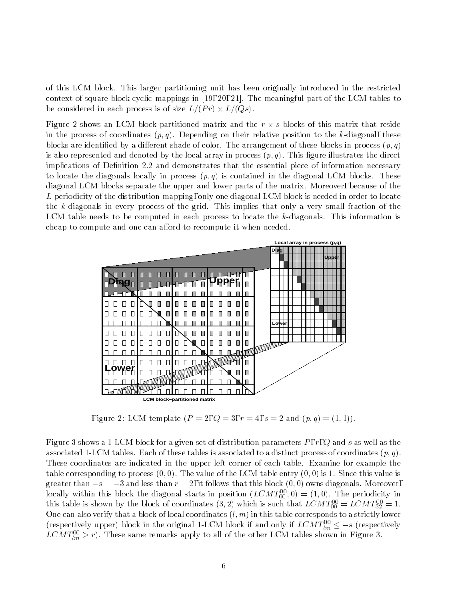of this LCM block. This larger partitioning unit has been originally introduced in the restricted context of square block cyclic mappings in [19, 20, 21]. The meaningful part of the LCM tables to be considered in each process is of size L=(P r) - L=(Qs).

Figure 2 shows an LCM block-partitioned matrix and the r - s blocks of this matrix that reside in the process of coordinates  $(p, q)$ . Depending on their relative position to the k-diagonal, these blocks are identified by a different shade of color. The arrangement of these blocks in process  $(p, q)$ is also represented and denoted by the local array in process  $(p, q)$ . This figure illustrates the direct implications of Definition 2.2 and demonstrates that the essential piece of information necessary to locate the diagonals locally in process  $(p,q)$  is contained in the diagonal LCM blocks. These diagonal LCM blocks separate the upper and lower parts of the matrix. Moreover, because of the L-periodicity of the distribution mapping, only one diagonal LCM block is needed in order to locate the k-diagonals in every process of the grid. This implies that only a very small fraction of the LCM table needs to be computed in each process to locate the  $k$ -diagonals. This information is cheap to compute and one can afford to recompute it when needed.



Figure 2: LCM template  $(P = 2, Q = 3, r = 4, s = 2 \text{ and } (p,q) = (1,1)).$ 

Figure 3 shows a 1-LCM block for a given set of distribution parameters  $P, r, Q$  and s as well as the associated 1-LCM tables. Each of these tables is associated to a distinct process of coordinates  $(p, q)$ . These coordinates are indicated in the upper left corner of each table. Examine for example the table corresponding to process  $(0,0)$ . The value of the LCM table entry  $(0,0)$  is 1. Since this value is greater than  $-s = -3$  and less than  $r = 2$ , it follows that this block  $(0, 0)$  owns diagonals. Moreover, locally within this block the diagonal starts in position  $(LCM T_{00}^2,0) \equiv (1,0)$ . The periodicity in this table is shown by the block of coordinates  $(3, 2)$  which is such that  $LCM$   $T_{00}^0 = LCM$   $T_{32}^0 = 1$ . One can also verify that a block of local coordinates  $(l, m)$  in this table corresponds to a strictly lower (respectively upper) block in the original 1-LCM block if and only if  $LCM I_{lm}^{\perp} \leq -s$  (respectively LCM  $I_{lm}^{-} \geq r$ ). These same remarks apply to all of the other LCM tables shown in Figure 3.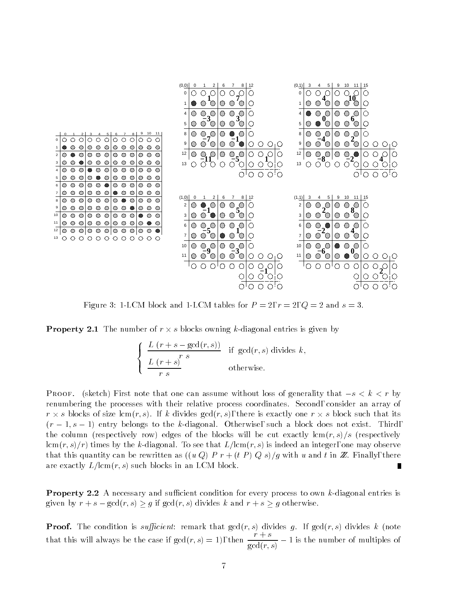

Figure 3: 1-LCM block and 1-LCM tables for  $P = 2$ ,  $r = 2$ ,  $Q = 2$  and  $s = 3$ .

Property 2.1 The number of r - s blocks owning k-diagonal entries is given by

$$
\begin{cases}\n\frac{L(r+s-gcd(r,s))}{r^s} & \text{if } \gcd(r,s) \text{ divides } k, \\
\frac{L(r+s)}{r \ s} & \text{otherwise.} \n\end{cases}
$$

**PROOF.** (sketch) First note that one can assume without loss of generality that  $-s < k < r$  by renumbering the processes with their relative process coordinates. Second, consider an array of r - s blocks of size lcm(r; s). If k divides gcd(r; s), there is exactly one r - s block such that its  $(r-1, s-1)$  entry belongs to the k-diagonal. Otherwise, such a block does not exist. Third, the column (respectively row) edges of the blocks will be cut exactly  $\text{lcm}(r, s)/s$  (respectively  $lcm(r, s)/r$  times by the k-diagonal. To see that  $L/lcm(r, s)$  is indeed an integer, one may observe that this quantity can be rewritten as  $((u Q) P r + (t P) Q s)/g$  with u and t in Z. Finally, there are exactly  $L/\text{lcm}(r, s)$  such blocks in an LCM block. Г

**Property 2.2** A necessary and sufficient condition for every process to own k-diagonal entries is given by  $r + s - \gcd(r, s) \geq g$  if  $\gcd(r, s)$  divides k and  $r + s \geq g$  otherwise.

**Proof.** The condition is sufficient: remark that  $gcd(r, s)$  divides g. If  $gcd(r, s)$  divides k (note that this will always be the case if  $gcd(r, s) = 1$ , then  $\frac{1}{gcd(r, s)} - 1$  is the number of multiples of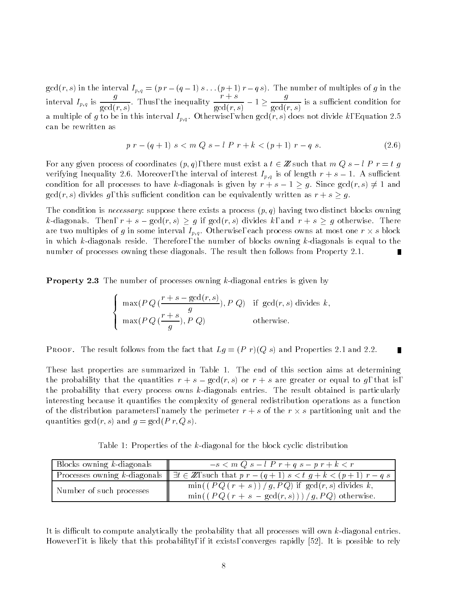$\alpha$  in the interval Ip;  $\alpha$  and  $\alpha$  is a control  $\alpha$  in the number of multiples of g in the  $\alpha$ interval  $I_{p,q}$  is  $\frac{s}{\gcd(r,s)}$ . Thus, the inequality  $\frac{s}{\gcd(r,s)} - 1 \ge \frac{s}{\gcd(r,s)}$  $gcd(r, s)$ a multiple of g to be in this interval  $I_{p,q}$ . Otherwise, when  $gcd(\overline{r}, s)$  does not divide k, Equation 2.5 can be rewritten as

$$
p r - (q + 1) s < m Q s - l P r + k < (p + 1) r - q s. \tag{2.6}
$$

For any given process of coordinates  $(p,q)$ , there must exist a  $t \in \mathbb{Z}$  such that  $mQs - lP r = t g$ verifying Inequality 2.6. Moreover, the interval of interest  $I_{p,q}$  is of length  $r + s - 1$ . A sufficient condition for all processes to have k-diagonals is given by  $r + s - 1 \geq g$ . Since  $gcd(r, s) \neq 1$  and  $gcd(r, s)$  divides g, this sufficient condition can be equivalently written as  $r + s \geq g$ .

The condition is *necessary*: suppose there exists a process  $(p, q)$  having two distinct blocks owning k-diagonals. Then,  $r + s - \gcd(r, s) \geq g$  if  $\gcd(r, s)$  divides k, and  $r + s \geq g$  otherwise. There are two multiples of g in some interval Ip;q. Otherwise, each process owns at most one r - s block in which  $k$ -diagonals reside. Therefore, the number of blocks owning  $k$ -diagonals is equal to the number of processes owning these diagonals. The result then follows from Property 2.1. П

**Property 2.3** The number of processes owning k-diagonal entries is given by

$$
\begin{cases}\n\max(P\,Q\,(\frac{r+s-\gcd(r,s)}{g}), P\,Q) & \text{if } \gcd(r,s) \text{ divides } k, \\
\max(P\,Q\,(\frac{r+s}{g}), P\,Q) & \text{otherwise.} \n\end{cases}
$$

PROOF. The result follows from the fact that  $Lg = (P r)(Q s)$  and Properties 2.1 and 2.2. 

These last properties are summarized in Table 1. The end of this section aims at determining the probability that the quantities  $r + s - \gcd(r, s)$  or  $r + s$  are greater or equal to g, that is, the probability that every process owns  $k$ -diagonals entries. The result obtained is particularly interesting because it quanties the complexity of general redistribution operations as a function of the distribution parameters, namely the perimeter r + s of the r - s partitioning unit and the quantities  $gcd(r, s)$  and  $q = gcd(Pr, Q, s)$ .

Table 1: Properties of the k-diagonal for the block cyclic distribution

| Blocks owning $k$ -diagonals | $-s < m Q s - l P r + q s - p r + k < r$                                                                                    |  |
|------------------------------|-----------------------------------------------------------------------------------------------------------------------------|--|
|                              | Processes owning k-diagonals $\parallel \exists t \in \mathbb{Z}$ , such that $p r - (q + 1) s < t g + k < (p + 1) r - q s$ |  |
| Number of such processes     | $\min((PQ(r+s))/g, PQ)$ if $gcd(r,s)$ divides k,<br>$\min((PQ(r + s - \gcd(r, s))))/g, PQ)$ otherwise.                      |  |

It is difficult to compute analytically the probability that all processes will own  $k$ -diagonal entries. However, it is likely that this probability, if it exists, converges rapidly [52]. It is possible to rely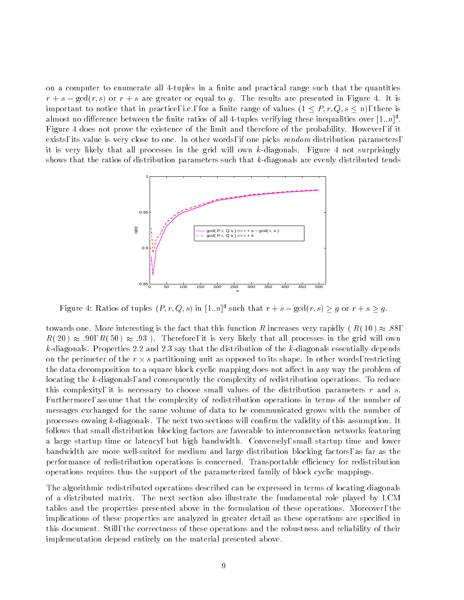on a computer to enumerate all 4-tuples in a finite and practical range such that the quantities  $r + s - \gcd(r, s)$  or  $r + s$  are greater or equal to g. The results are presented in Figure 4. It is important to notice that in practice, i.e., for a finite range of values  $(1 \leq P, r, Q, s \leq n)$ , there is almost no difference between the finite ratios of all 4-tuples verifying these inequalities over  $[1..n]^\top$ . Figure 4 does not prove the existence of the limit and therefore of the probability. However, if it exists, its value is very close to one. In other words, if one picks *random* distribution parameters, it is very likely that all processes in the grid will own k-diagonals. Figure 4 not surprisingly shows that the ratios of distribution parameters such that k-diagonals are evenly distributed tends



Figure 4: Katios of tuples  $(F, T, Q, s)$  in  $[1..n]$  such that  $r + s = \gcd(T, s) \geq q$  or  $r + s \geq q$ .

towards one. More interesting is the fact that this function R increases very rapidly (R(10)  $\approx$  .88,  $R(20) \approx .90, R(50) \approx .93$ ). Therefore, it is very likely that all processes in the grid will own k-diagonals. Properties 2.2 and 2.3 say that the distribution of the k-diagonals essentially depends on the perimeter of the r - s partitioning unit as opposed to its shape. In other words, restricting the data decomposition to a square block cyclic mapping does not affect in any way the problem of locating the k-diagonals, and consequently the complexity of redistribution operations. To reduce this complexity, it is necessary to choose small values of the distribution parameters  $r$  and  $s$ . Furthermore, assume that the complexity of redistribution operations in terms of the number of messages exchanged for the same volume of data to be communicated grows with the number of processes owning k-diagonals. The next two sections will confirm the validity of this assumption. It follows that small distribution blocking factors are favorable to interconnection networks featuring a large startup time or latency, but high bandwidth. Conversely, small startup time and lower bandwidth are more well-suited for medium and large distribution blocking factors, as far as the performance of redistribution operations is concerned. Transportable eciency for redistribution operations requires thus the support of the parameterized family of block cyclic mappings.

The algorithmic redistributed operations described can be expressed in terms of locating diagonals of a distributed matrix. The next section also illustrate the fundamental role played by LCM tables and the properties presented above in the formulation of these operations. Moreover, the implications of these properties are analyzed in greater detail as these operations are specied in this document. Still, the correctness of these operations and the robustness and reliability of their implementation depend entirely on the material presented above.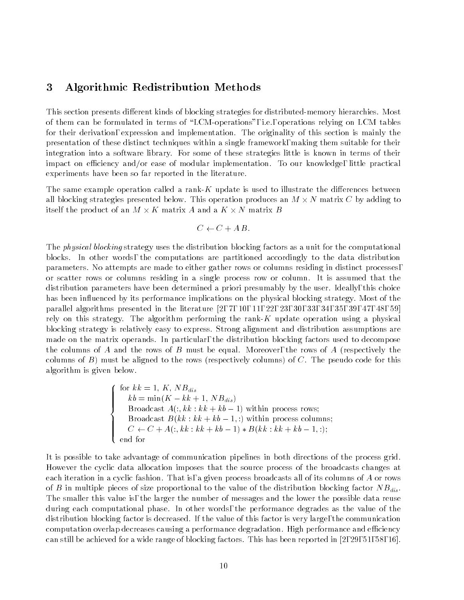# 3 Algorithmic Redistribution Methods

This section presents different kinds of blocking strategies for distributed-memory hierarchies. Most of them can be formulated in terms of "LCM-operations", i.e., operations relying on LCM tables for their derivation, expression and implementation. The originality of this section is mainly the presentation of these distinct techniques within a single framework, making them suitable for their integration into a software library. For some of these strategies little is known in terms of their impact on efficiency and/or ease of modular implementation. To our knowledge, little practical experiments have been so far reported in the literature.

The same example operation called a rank-K update is used to illustrate the differences between all blocking strategies presented below. This operation produces an M - N matrix C by adding to itself the product of an M - K matrix A and a K - N matrix B

$$
C \leftarrow C + AB.
$$

The *physical blocking* strategy uses the distribution blocking factors as a unit for the computational blocks. In other words, the computations are partitioned accordingly to the data distribution parameters. No attempts are made to either gather rows or columns residing in distinct processes, or scatter rows or columns residing in a single process row or column. It is assumed that the distribution parameters have been determined a priori presumably by the user. Ideally, this choice has been influenced by its performance implications on the physical blocking strategy. Most of the parallel algorithms presented in the literature [2, 7, 10, 11, 22, 23, 30, 33, 34, 35, 39, 47, 48, 59] rely on this strategy. The algorithm performing the rank-K update operation using a physical blocking strategy is relatively easy to express. Strong alignment and distribution assumptions are made on the matrix operands. In particular, the distribution blocking factors used to decompose the columns of A and the rows of B must be equal. Moreover, the rows of A (respectively the columns of  $B$ ) must be aligned to the rows (respectively columns) of  $C$ . The pseudo code for this algorithm is given below.

$$
\begin{cases}\n\text{for } kk = 1, K, NB_{dis} \\
kb = \min(K - kk + 1, NB_{dis}) \\
\text{Broadcast } A(:, kk : kk + kb - 1) \text{ within process rows;} \\
\text{Broadcast } B(kk : kk + kb - 1, :) \text{ within process columns;} \\
C \leftarrow C + A(:, kk : kk + kb - 1) * B(kk : kk + kb - 1, :); \\
\text{end for}\n\end{cases}
$$

It is possible to take advantage of communication pipelines in both directions of the process grid. However the cyclic data allocation imposes that the source process of the broadcasts changes at each iteration in a cyclic fashion. That is, a given process broadcasts all of its columns of A or rows of B in multiple pieces of size proportional to the value of the distribution blocking factor  $NB_{dis}$ . The smaller this value is, the larger the number of messages and the lower the possible data reuse during each computational phase. In other words, the performance degrades as the value of the distribution blocking factor is decreased. If the value of this factor is very large, the communication computation overlap decreases causing a performance degradation. High performance and efficiency can still be achieved for a wide range of blocking factors. This has been reported in [2, 29, 51, 58, 16].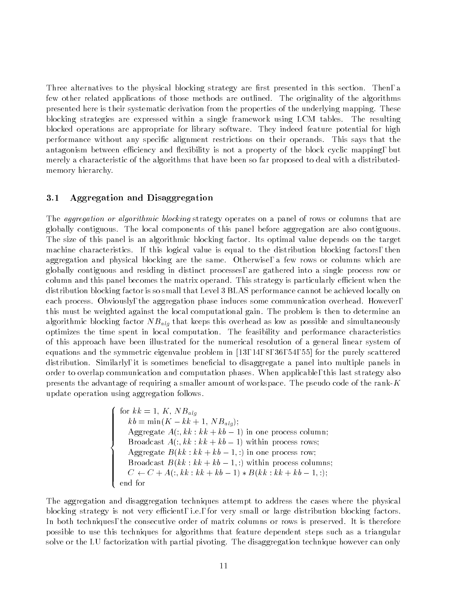Three alternatives to the physical blocking strategy are first presented in this section. Then, a few other related applications of those methods are outlined. The originality of the algorithms presented here is their systematic derivation from the properties of the underlying mapping. These blocking strategies are expressed within a single framework using LCM tables. The resulting blocked operations are appropriate for library software. They indeed feature potential for high performance without any specic alignment restrictions on their operands. This says that the antagonism between efficiency and flexibility is not a property of the block cyclic mapping, but merely a characteristic of the algorithms that have been so far proposed to deal with a distributedmemory hierarchy.

### 3.1 Aggregation and Disaggregation

The *aggregation or algorithmic blocking* strategy operates on a panel of rows or columns that are globally contiguous. The local components of this panel before aggregation are also contiguous. The size of this panel is an algorithmic blocking factor. Its optimal value depends on the target machine characteristics. If this logical value is equal to the distribution blocking factors, then aggregation and physical blocking are the same. Otherwise, a few rows or columns which are globally contiguous and residing in distinct processes, are gathered into a single process row or column and this panel becomes the matrix operand. This strategy is particularly efficient when the distribution blocking factor is so small that Level 3 BLAS performance cannot be achieved locally on each process. Obviously, the aggregation phase induces some communication overhead. However, this must be weighted against the local computational gain. The problem is then to determine an algorithmic blocking factor  $NB_{alg}$  that keeps this overhead as low as possible and simultaneously optimizes the time spent in local computation. The feasibility and performance characteristics of this approach have been illustrated for the numerical resolution of a general linear system of equations and the symmetric eigenvalue problem in [13, 14, 8, 36, 54, 55] for the purely scattered distribution. Similarly, it is sometimes beneficial to disaggregate a panel into multiple panels in order to overlap communication and computation phases. When applicable, this last strategy also presents the advantage of requiring a smaller amount of workspace. The pseudo code of the rank- $K$ update operation using aggregation follows.

$$
\begin{cases}\n\text{for } kk = 1, K, NB_{alg} \\
kb = \min(K - kk + 1, NB_{alg}); \\
\text{Aggregate } A(:, kk : kk + kb - 1) \text{ in one process column;} \\
\text{Broadcast } A(:, kk : kk + kb - 1) \text{ within process rows;} \\
\text{Aggregate } B(kk : kk + kb - 1, :) \text{ in one process row;} \\
\text{Broadcast } B(kk : kk + kb - 1, :) \text{ within process columns;} \\
C \leftarrow C + A(:, kk : kk + kb - 1) * B(kk : kk + kb - 1, :); \\
\text{end for}\n\end{cases}
$$

The aggregation and disaggregation techniques attempt to address the cases where the physical blocking strategy is not very efficient, i.e., for very small or large distribution blocking factors. In both techniques, the consecutive order of matrix columns or rows is preserved. It is therefore possible to use this techniques for algorithms that feature dependent steps such as a triangular solve or the LU factorization with partial pivoting. The disaggregation technique however can only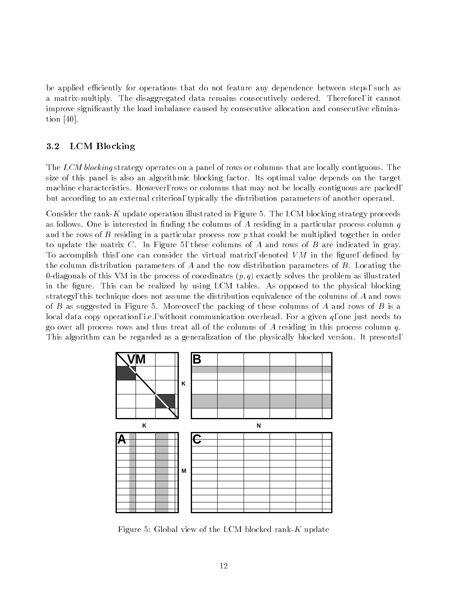be applied efficiently for operations that do not feature any dependence between steps, such as a matrix-multiply. The disaggregated data remains consecutively ordered. Therefore, it cannot improve signicantly the load imbalance caused by consecutive allocation and consecutive elimination [40].

# 3.2 LCM Blocking

The LCM blocking strategy operates on a panel of rows or columns that are locally contiguous. The size of this panel is also an algorithmic blocking factor. Its optimal value depends on the target machine characteristics. However, rows or columns that may not be locally contiguous are packed, but according to an external criterion, typically the distribution parameters of another operand.

Consider the rank-K update operation illustrated in Figure 5. The LCM blocking strategy proceeds as follows. One is interested in finding the columns of  $A$  residing in a particular process column  $q$ and the rows of B residing in a particular process row p that could be multiplied together in order to update the matrix  $C$ . In Figure 5, these columns of  $A$  and rows of  $B$  are indicated in gray. To accomplish this, one can consider the virtual matrix, denoted  $VM$  in the figure, defined by the column distribution parameters of A and the row distribution parameters of B. Locating the 0-diagonals of this VM in the process of coordinates  $(p, q)$  exactly solves the problem as illustrated in the gure. This can be realized by using LCM tables. As opposed to the physical blocking strategy, this technique does not assume the distribution equivalence of the columns of A and rows of B as suggested in Figure 5. Moreover, the packing of these columns of A and rows of B is a local data copy operation, i.e., without communication overhead. For a given  $q$ , one just needs to go over all process rows and thus treat all of the columns of A residing in this process column  $q$ . This algorithm can be regarded as a generalization of the physically blocked version. It presents,



Figure 5: Global view of the LCM blocked rank- $K$  update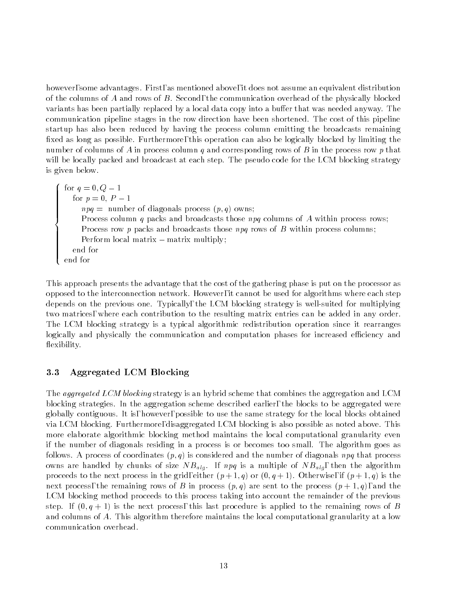however, some advantages. First, as mentioned above, it does not assume an equivalent distribution of the columns of A and rows of B. Second, the communication overhead of the physically blocked variants has been partially replaced by a local data copy into a buffer that was needed anyway. The communication pipeline stages in the row direction have been shortened. The cost of this pipeline startup has also been reduced by having the process column emitting the broadcasts remaining fixed as long as possible. Furthermore, this operation can also be logically blocked by limiting the number of columns of A in process column q and corresponding rows of B in the process row p that will be locally packed and broadcast at each step. The pseudo code for the LCM blocking strategy is given below.

and the state of the state of the state of the state of the state of the state of the state of the state of the  $\begin{bmatrix} 1 & 1 \\ 0 & 1 \end{bmatrix}$ Perform<br>
end for for  $q = 0, Q - 1$ for p  $\sim$  0; P  $\sim$  10; P  $\sim$  10; P  $\sim$  10; P  $\sim$  10; P  $\sim$  10; P  $\sim$  10; P  $\sim$  10; P  $\sim$  10; P  $\sim$  10; P  $\sim$  10; P  $\sim$  10; P  $\sim$  10; P  $\sim$  10; P  $\sim$  10; P  $\sim$  10; P  $\sim$  10; P  $\sim$  10; P  $\sim$  10; P  $\sim$  10  $npq =$  number of diagonals process  $(p, q)$  owns; Process column  $q$  packs and broadcasts those  $npq$  columns of  $A$  within process rows; Process row  $p$  packs and broadcasts those  $npq$  rows of  $B$  within process columns; Perform local matrix - matrix multiply; end for

This approach presents the advantage that the cost of the gathering phase is put on the processor as opposed to the interconnection network. However, it cannot be used for algorithms where each step depends on the previous one. Typically, the LCM blocking strategy is well-suited for multiplying two matrices, where each contribution to the resulting matrix entries can be added in any order. The LCM blocking strategy is a typical algorithmic redistribution operation since it rearranges logically and physically the communication and computation phases for increased efficiency and flexibility.

#### $3.3$ 3.3 Aggregated LCM Blocking

The *aggregated LCM blocking* strategy is an hybrid scheme that combines the aggregation and LCM blocking strategies. In the aggregation scheme described earlier, the blocks to be aggregated were globally contiguous. It is, however, possible to use the same strategy for the local blocks obtained via LCM blocking. Furthermore, disaggregated LCM blocking is also possible as noted above. This more elaborate algorithmic blocking method maintains the local computational granularity even if the number of diagonals residing in a process is or becomes too small. The algorithm goes as follows. A process of coordinates  $(p, q)$  is considered and the number of diagonals npq that process owns are handled by chunks of size  $NB_{alg}$ . If npq is a multiple of  $NB_{alg}$ , then the algorithm proceeds to the next process in the grid, either  $(p+1,q)$  or  $(0,q+1)$ . Otherwise, if  $(p+1,q)$  is the next process, the remaining rows of B in process  $(p, q)$  are sent to the process  $(p + 1, q)$ , and the LCM blocking method proceeds to this process taking into account the remainder of the previous step. If  $(0, q + 1)$  is the next process, this last procedure is applied to the remaining rows of B and columns of A. This algorithm therefore maintains the local computational granularity at a low communication overhead.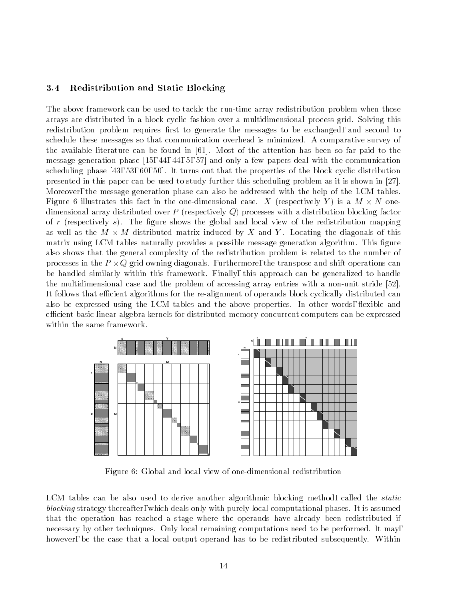#### 3.4 Redistribution and Static Blocking

The above framework can be used to tackle the run-time array redistribution problem when those arrays are distributed in a block cyclic fashion over a multidimensional process grid. Solving this redistribution problem requires first to generate the messages to be exchanged, and second to schedule these messages so that communication overhead is minimized. A comparative survey of the available literature can be found in [61]. Most of the attention has been so far paid to the message generation phase [15, 44, 44, 5, 57] and only a few papers deal with the communication scheduling phase [43, 53, 60, 50]. It turns out that the properties of the block cyclic distribution presented in this paper can be used to study further this scheduling problem as it is shown in [27]. Moreover, the message generation phase can also be addressed with the help of the LCM tables. Figure 6 illustrates this fact in the one-dimensional case. X (respectively Y ) is a M - N onedimensional array distributed over P (respectively Q) processes with a distribution blocking factor of r (respectively s). The figure shows the global and local view of the redistribution mapping as well as the M - M - M distributed matrix induced by I . Locating the diagonals of this of the distribution matrix using LCM tables naturally provides a possible message generation algorithm. This figure also shows that the general complexity of the redistribution problem is related to the number of processes in the F  $_{\rm 11.9}$   $_{\rm 22.19}$  cannot diagonals. Furthermore, the transpose and shift operations can be handled similarly within this framework. Finally, this approach can be generalized to handle the multidimensional case and the problem of accessing array entries with a non-unit stride [52]. It follows that efficient algorithms for the re-alignment of operands block cyclically distributed can also be expressed using the LCM tables and the above properties. In other words, flexible and efficient basic linear algebra kernels for distributed-memory concurrent computers can be expressed within the same framework.



Figure 6: Global and local view of one-dimensional redistribution

LCM tables can be also used to derive another algorithmic blocking method, called the *static* blocking strategy thereafter, which deals only with purely local computational phases. It is assumed that the operation has reached a stage where the operands have already been redistributed if necessary by other techniques. Only local remaining computations need to be performed. It may, however, be the case that a local output operand has to be redistributed subsequently. Within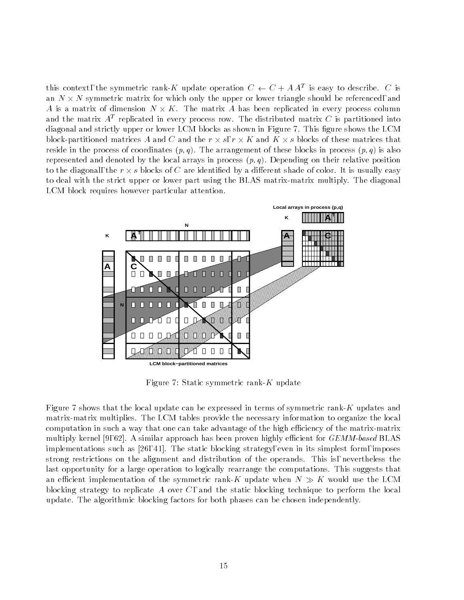this context, the symmetric rank- $\Lambda$  update operation  $C \leftarrow C + AA$  is easy to describe.  $C$  is an N - N symmetric matrix for which only the upper or lower triangle should be referenced, and a is a matrix of dimension to place and matrix of dimension tephenical in every process column and the matrix  $A$  -replicated in every process row. The distributed matrix  $\cup$  is partitioned mto  $$ diagonal and strictly upper or lower LCM blocks as shown in Figure 7. This figure shows the LCM block-partitioned matrices A and C and the r - s, r - K and K - s blocks of these matrices that reside in the process of coordinates  $(p, q)$ . The arrangement of these blocks in process  $(p, q)$  is also represented and denoted by the local arrays in process  $(p, q)$ . Depending on their relative position to the diagonal, the r r - s blocks of C are identified by a different shade of color. It is usually easy to deal with the strict upper or lower part using the BLAS matrix-matrix multiply. The diagonal LCM block requires however particular attention.



Figure 7: Static symmetric rank-K update

Figure 7 shows that the local update can be expressed in terms of symmetric rank-K updates and matrix-matrix multiplies. The LCM tables provide the necessary information to organize the local computation in such a way that one can take advantage of the high efficiency of the matrix-matrix multiply kernel [9, 62]. A similar approach has been proven highly efficient for  $GEMM$ -based BLAS implementations such as [26, 41]. The static blocking strategy, even in its simplest form, imposes strong restrictions on the alignment and distribution of the operands. This is, nevertheless the last opportunity for a large operation to logically rearrange the computations. This suggests that an efficient implementation of the symmetric rank-K update when  $N \gg K$  would use the LCM blocking strategy to replicate A over  $C$ , and the static blocking technique to perform the local update. The algorithmic blocking factors for both phases can be chosen independently.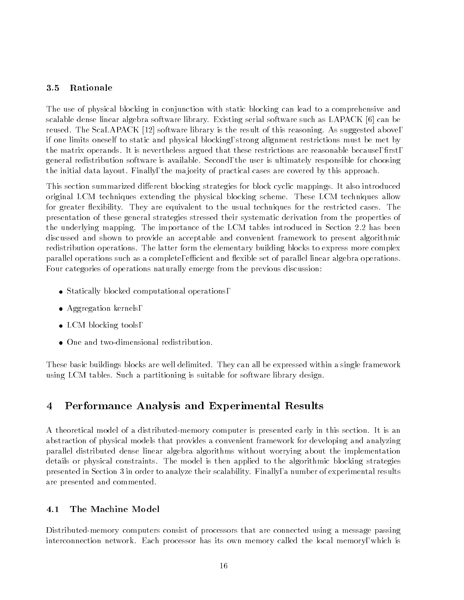### 3.5 Rationale

The use of physical blocking in conjunction with static blocking can lead to a comprehensive and scalable dense linear algebra software library. Existing serial software such as LAPACK [6] can be reused. The ScaLAPACK [12] software library is the result of this reasoning. As suggested above, if one limits oneself to static and physical blocking, strong alignment restrictions must be met by the matrix operands. It is nevertheless argued that these restrictions are reasonable because, first, general redistribution software is available. Second, the user is ultimately responsible for choosing the initial data layout. Finally, the ma jority of practical cases are covered by this approach.

This section summarized different blocking strategies for block cyclic mappings. It also introduced original LCM techniques extending the physical blocking scheme. These LCM techniques allow for greater flexibility. They are equivalent to the usual techniques for the restricted cases. The presentation of these general strategies stressed their systematic derivation from the properties of the underlying mapping. The importance of the LCM tables introduced in Section 2.2 has been discussed and shown to provide an acceptable and convenient framework to present algorithmic redistribution operations. The latter form the elementary building blocks to express more complex parallel operations such as a complete, efficient and flexible set of parallel linear algebra operations. Four categories of operations naturally emerge from the previous discussion:

- Statically blocked computational operations,
- Aggregation kernels,
- LCM blocking tools,
- One and two-dimensional redistribution.

These basic buildings blocks are well delimited. They can all be expressed within a single framework using LCM tables. Such a partitioning is suitable for software library design.

#### 4 Performance Analysis and Experimental Results 4

A theoretical model of a distributed-memory computer is presented early in this section. It is an abstraction of physical models that provides a convenient framework for developing and analyzing parallel distributed dense linear algebra algorithms without worrying about the implementation details or physical constraints. The model is then applied to the algorithmic blocking strategies presented in Section 3 in order to analyze their scalability. Finally,anumber of experimental results are presented and commented.

#### 4.1 The Machine Model

Distributed-memory computers consist of processors that are connected using a message passing interconnection network. Each processor has its own memory called the local memory, which is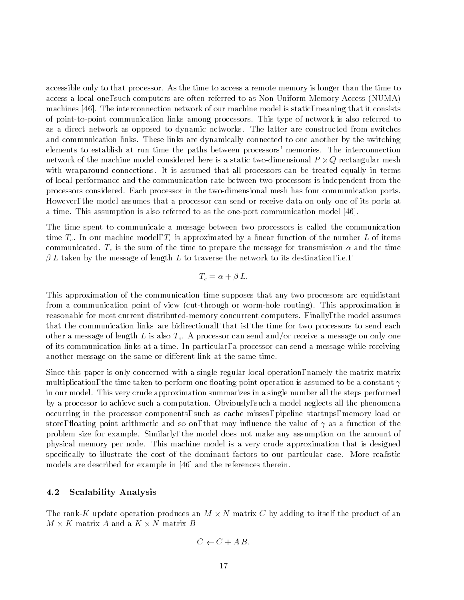accessible only to that processor. As the time to access a remote memory is longer than the time to access a local one, such computers are often referred to as Non-Uniform Memory Access (NUMA) machines [46]. The interconnection network of our machine model is static, meaning that it consists of point-to-point communication links among processors. This type of network is also referred to as a direct network as opposed to dynamic networks. The latter are constructed from switches and communication links. These links are dynamically connected to one another by the switching elements to establish at run time the paths between processors' memories. The interconnection network of the machine model considered here is a static two-dimensional P - Q rectangular mesh with wraparound connections. It is assumed that all processors can be treated equally in terms of local performance and the communication rate between two processors is independent from the processors considered. Each processor in the two-dimensional mesh has four communication ports. However, the model assumes that a processor can send or receive data on only one of its ports at a time. This assumption is also referred to as the one-port communication model [46].

The time spent to communicate a message between two processors is called the communication time  $T_c$ . In our machine model,  $T_c$  is approximated by a linear function of the number L of items communicated.  $T_c$  is the sum of the time to prepare the message for transmission  $\alpha$  and the time  $\beta L$  taken by the message of length L to traverse the network to its destination, i.e.,

$$
T_c = \alpha + \beta L.
$$

This approximation of the communication time supposes that any two processors are equidistant from a communication point of view (cut-through or worm-hole routing). This approximation is reasonable for most current distributed-memory concurrent computers. Finally, the model assumes that the communication links are bidirectional, that is, the time for two processors to send each other a message of length L is also  $T_c$ . A processor can send and/or receive a message on only one of its communication links at a time. In particular, a processor can send a message while receiving another message on the same or different link at the same time.

Since this paper is only concerned with a single regular local operation, namely the matrix-matrix multiplication, the time taken to perform one floating point operation is assumed to be a constant  $\gamma$ in our model. This very crude approximation summarizes in a single number all the steps performed by a processor to achieve such a computation. Obviously, such a model neglects all the phenomena occurring in the processor components, such as cache misses, pipeline startups, memory load or store, floating point arithmetic and so on, that may influence the value of  $\gamma$  as a function of the problem size for example. Similarly, the model does not make any assumption on the amount of physical memory per node. This machine model is a very crude approximation that is designed specically to illustrate the cost of the dominant factors to our particular case. More realistic models are described for example in [46] and the references therein.

#### 4.2 Scalability Analysis

The rank-K update operation produces an M - N matrix C by adding to itself the product of an

$$
C \leftarrow C + AB.
$$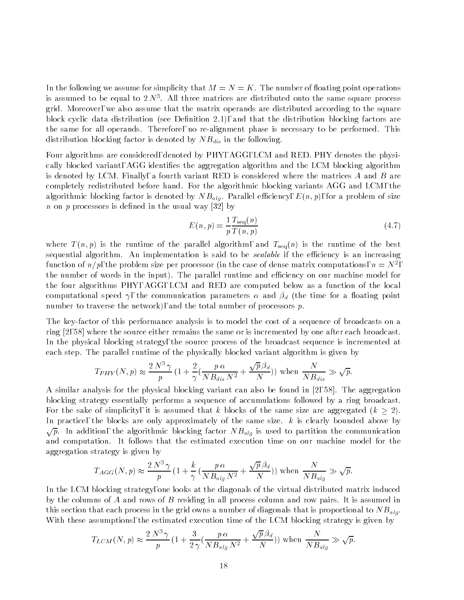In the following we assume for simplicity that  $M = N = K$ . The number of floating point operations is assumed to be equal to  $2N^{\ast}$ . All three matrices are distributed onto the same square process grid. Moreover, we also assume that the matrix operands are distributed according to the square block cyclic data distribution (see Definition 2.1), and that the distribution blocking factors are the same for all operands. Therefore, no re-alignment phase is necessary to be performed. This distribution blocking factor is denoted by  $NB_{dis}$  in the following.

Four algorithms are considered, denoted by PHY, AGG, LCM and RED. PHY denotes the physically blocked variant, AGG identifies the aggregation algorithm and the LCM blocking algorithm is denoted by LCM. Finally, a fourth variant RED is considered where the matrices A and B are completely redistributed before hand. For the algorithmic blocking variants AGG and LCM, the algorithmic blocking factor is denoted by  $NB_{alg}$ . Parallel efficiency,  $E(n, p)$ , for a problem of size *n* on *p* processors is defined in the usual way [32] by

$$
E(n,p) = \frac{1}{p} \frac{T_{\text{seq}}(n)}{T(n,p)}\tag{4.7}
$$

where  $T(n, p)$  is the runtime of the parallel algorithm, and  $T_{seq}(n)$  is the runtime of the best sequential algorithm. An implementation is said to be *scalable* if the efficiency is an increasing function of  $n/p$ , the problem size per processor (in the case of dense matrix computations,  $n = N^-$ , the number of words in the input). The parallel runtime and efficiency on our machine model for the four algorithms PHY, AGG, LCM and RED are computed below as a function of the local computational speed  $\gamma$ , the communication parameters  $\alpha$  and  $\beta_d$  (the time for a floating point number to traverse the network), and the total number of processors  $p$ .

The key-factor of this performance analysis is to model the cost of a sequence of broadcasts on a ring [2, 58] where the source either remains the same or is incremented by one after each broadcast. In the physical blocking strategy, the source process of the broadcast sequence is incremented at each step. The parallel runtime of the physically blocked variant algorithm is given by

$$
T_{PHY}(N,p) \approx \frac{2 N^3 \gamma}{p} \left(1 + \frac{2}{\gamma} \left(\frac{p \alpha}{N B_{dis} N^2} + \frac{\sqrt{p} \beta_d}{N}\right)\right) \text{ when } \frac{N}{N B_{dis}} \gg \sqrt{p}.
$$

A similar analysis for the physical blocking variant can also be found in [2, 58]. The aggregation blocking strategy essentially performs a sequence of accumulations followed by a ring broadcast. For the sake of simplicity, it is assumed that k blocks of the same size are aggregated  $(k > 2)$ . In practice, the blocks are only approximately of the same size.  $k$  is clearly bounded above by  $\sqrt{p}$ . In addition, the algorithmic blocking factor  $NB_{alg}$  is used to partition the communication and computation. It follows that the estimated execution time on our machine model for the aggregation strategy is given by

$$
T_{AGG}(N,p) \approx \frac{2 N^3 \gamma}{p} \left(1 + \frac{k}{\gamma} \left(\frac{p \alpha}{N B_{alg} N^2} + \frac{\sqrt{p} \beta_d}{N}\right)\right) \text{ when } \frac{N}{N B_{alg}} \gg \sqrt{p}.
$$

In the LCM blocking strategy, one looks at the diagonals of the virtual distributed matrix induced by the columns of A and rows of B residing in all process column and row pairs. It is assumed in this section that each process in the grid owns a number of diagonals that is proportional to  $NB_{alg}$ . With these assumptions, the estimated execution time of the LCM blocking strategy is given by

$$
T_{LCM}(N,p) \approx \frac{2 N^3 \gamma}{p} \left(1 + \frac{3}{2 \gamma} \left(\frac{p \alpha}{N B_{alg} N^2} + \frac{\sqrt{p} \beta_d}{N}\right)\right) \text{ when } \frac{N}{N B_{alg}} \gg \sqrt{p}.
$$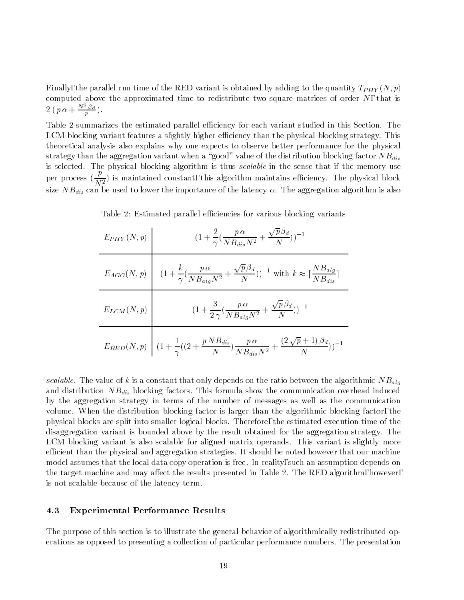Finally, the parallel run time of the RED variant is obtained by adding to the quantity  $T_{PHY}(N, p)$ computed above the approximated time to redistribute two square matrices of order  $N$ , that is  $2\left(\,p\,\alpha + \frac{N^2\,\beta d}{p}\,\right).$ 

Table 2 summarizes the estimated parallel efficiency for each variant studied in this Section. The LCM blocking variant features a slightly higher efficiency than the physical blocking strategy. This theoretical analysis also explains why one expects to observe better performance for the physical strategy than the aggregation variant when a "good" value of the distribution blocking factor  $NB_{dis}$ is selected. The physical blocking algorithm is thus scalable in the sense that if the memory use per process  $(\frac{r}{N^2})$  is maintained constant, this algorithm maintains efficiency. The physical block size  $NB_{dis}$  can be used to lower the importance of the latency  $\alpha$ . The aggregation algorithm is also

| $E_{PHY}(N,p)$ | $(1+\frac{2}{\gamma}(\frac{p\,\alpha}{NB_{dis}N^2}+\frac{\sqrt{p}\,\beta_d}{N}))^{-1}$                                                                          |
|----------------|-----------------------------------------------------------------------------------------------------------------------------------------------------------------|
|                | $E_{AGG}(N,p)$ $\left(1+\frac{k}{\gamma}(\frac{p\alpha}{NB_{alg}N^2}+\frac{\sqrt{p}\beta_d}{N}))^{-1}$ with $k \approx \lceil \frac{NB_{alg}}{NB_{dis}} \rceil$ |
|                | $E_{LCM}(N,p)$ $(1+\frac{3}{2\gamma}(\frac{p\alpha}{NB_{alg}N^2}+\frac{\sqrt{p\beta_d}}{N}))^{-1}$                                                              |
|                | $E_{RED}(N,p) \ \left   \ (1+ \frac{1}{\gamma}((2+\frac{p\,NB_{dis}}{N})\frac{p\,\alpha}{NB_{dis}N^2} + \frac{(2\,\sqrt{p}+1)\,\beta_d}{N}))^{-1} \right.$      |

Table 2: Estimated parallel efficiencies for various blocking variants

scalable. The value of k is a constant that only depends on the ratio between the algorithmic  $NB_{alg}$ and distribution  $NB_{dis}$  blocking factors. This formula show the communication overhead induced by the aggregation strategy in terms of the number of messages as well as the communication volume. When the distribution blocking factor is larger than the algorithmic blocking factor, the physical blocks are split into smaller logical blocks. Therefore, the estimated execution time of the disaggregation variant is bounded above by the result obtained for the aggregation strategy. The LCM blocking variant is also scalable for aligned matrix operands. This variant is slightly more efficient than the physical and aggregation strategies. It should be noted however that our machine model assumes that the local data copy operation is free. In reality, such an assumption depends on the target machine and may affect the results presented in Table 2. The RED algorithm, however, is not scalable because of the latency term.

#### 4.3 Experimental Performance Results

The purpose of this section is to illustrate the general behavior of algorithmically redistributed operations as opposed to presenting a collection of particular performance numbers. The presentation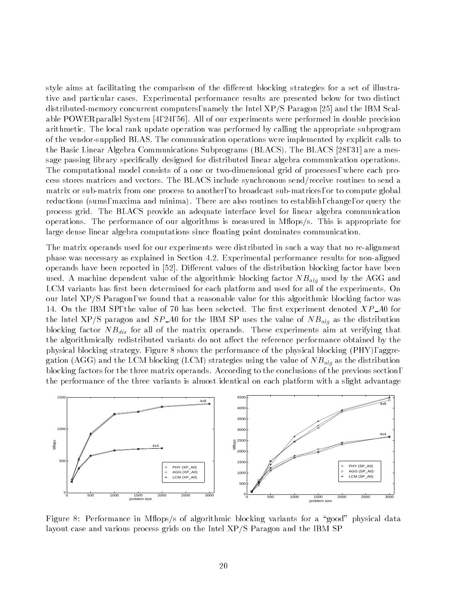style aims at facilitating the comparison of the different blocking strategies for a set of illustrative and particular cases. Experimental performance results are presented below for two distinct distributed-memory concurrent computers, namely the Intel XP/S Paragon [25] and the IBM Scalable POWERparallel System [4, 24, 56]. All of our experiments were performed in double precision arithmetic. The local rank update operation was performed by calling the appropriate subprogram of the vendor-supplied BLAS. The communication operations were implemented by explicit calls to the Basic Linear Algebra Communications Subprograms (BLACS). The BLACS [28, 31] are a message passing library specically designed for distributed linear algebra communication operations. The computational model consists of a one or two-dimensional grid of processes, where each process stores matrices and vectors. The BLACS include synchronous send/receive routines to send a matrix or sub-matrix from one process to another, to broadcast sub-matrices, or to compute global reductions (sums, maxima and minima). There are also routines to establish, change, or query the process grid. The BLACS provide an adequate interface level for linear algebra communication operations. The performance of our algorithms is measured in M
ops/s. This is appropriate for large dense linear algebra computations since floating point dominates communication.

The matrix operands used for our experiments were distributed in such a way that no re-alignment phase was necessary as explained in Section 4.2. Experimental performance results for non-aligned operands have been reported in  $[52]$ . Different values of the distribution blocking factor have been used. A machine dependent value of the algorithmic blocking factor  $NB_{alg}$  used by the AGG and LCM variants has first been determined for each platform and used for all of the experiments. On our Intel XP/S Paragon, we found that a reasonable value for this algorithmic blocking factor was 14. On the IBM SP, the value of 70 has been selected. The first experiment denoted  $XP_{-}A0$  for the Intel XP/S paragon and  $SP\_A0$  for the IBM SP uses the value of  $NB_{alg}$  as the distribution blocking factor  $NB_{dis}$  for all of the matrix operands. These experiments aim at verifying that the algorithmically redistributed variants do not affect the reference performance obtained by the physical blocking strategy. Figure 8 shows the performance of the physical blocking (PHY), aggregation (AGG) and the LCM blocking (LCM) strategies using the value of  $NB_{alg}$  as the distribution blocking factors for the three matrix operands. According to the conclusions of the previous section, the performance of the three variants is almost identical on each platform with a slight advantage



Figure 8: Performance in Mflops/s of algorithmic blocking variants for a "good" physical data layout case and various process grids on the Intel XP/S Paragon and the IBM SP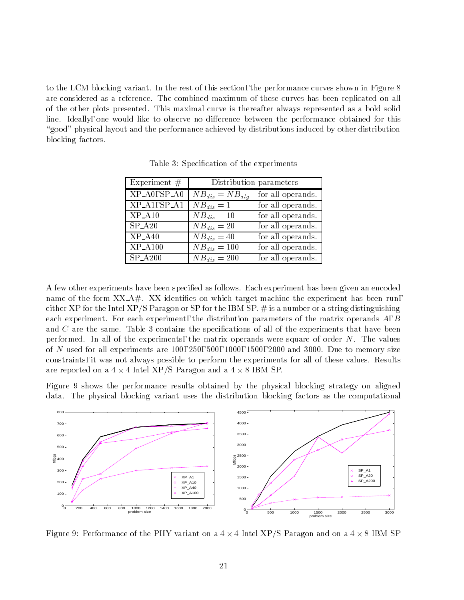to the LCM blocking variant. In the rest of this section, the performance curves shown in Figure 8 are considered as a reference. The combined maximum of these curves has been replicated on all of the other plots presented. This maximal curve is thereafter always represented as a bold solid line. Ideally, one would like to observe no difference between the performance obtained for this "good" physical layout and the performance achieved by distributions induced by other distribution blocking factors.

| Experiment $#$      |                     | Distribution parameters |
|---------------------|---------------------|-------------------------|
| $XP_A0, SP_A0$      | $NB_{dis}=NB_{alg}$ | for all operands.       |
| $XP_A1, SP_A1$      | $NB_{dis}=1$        | for all operands.       |
| $XP_A10$            | $NB_{dis}=10$       | for all operands.       |
| $\overline{SP_A20}$ | $NB_{dis}=20$       | for all operands.       |
| $\overline{XP}$ A40 | $NB_{dis}=40$       | for all operands.       |
| $XP_A100$           | $NB_{dis}=100$      | for all operands.       |
| $SP_A200$           | $NB_{dis}=200$      | for all operands.       |

Table 3: Specication of the experiments

A few other experiments have been specied as follows. Each experiment has been given an encoded name of the form  $XX \rightarrow A$ . XX identifies on which target machine the experiment has been run, either XP for the Intel XP/S Paragon or SP for the IBM SP.  $\#$  is a number or a string distinguishing each experiment. For each experiment, the distribution parameters of the matrix operands A, B and  $C$  are the same. Table 3 contains the specifications of all of the experiments that have been performed. In all of the experiments, the matrix operands were square of order  $N$ . The values of N used for all experiments are  $100, 250, 500, 1000, 1500, 2000$  and 3000. Due to memory size constraints, it was not always possible to perform the experiments for all of these values. Results are reported on a 4 - 1 Intel XP/S Paragon and a 4 - 1 Intel XP/S Paragon and a 4 - 1 Intel XP/S Paragon and a

Figure 9 shows the performance results obtained by the physical blocking strategy on aligned data. The physical blocking variant uses the distribution blocking factors as the computational



Figure 9: Performance of the PHY variant on a 4 - 4 Intel XP/S Paragon and on a 4 - 8 IBM SP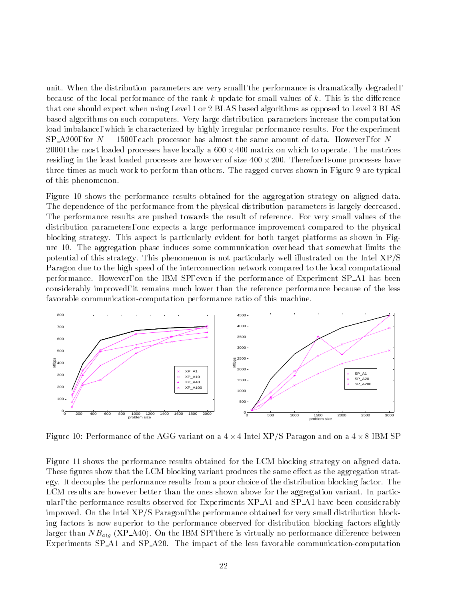unit. When the distribution parameters are very small, the performance is dramatically degraded, because of the local performance of the rank-k update for small values of k. This is the difference that one should expect when using Level 1 or 2 BLAS based algorithms as opposed to Level 3 BLAS based algorithms on such computers. Very large distribution parameters increase the computation load imbalance, which is characterized by highly irregular performance results. For the experiment SP\_A200, for  $N = 1500$ , each processor has almost the same amount of data. However, for  $N =$ 2000, the most loaded processes have locally a 600 - 400 matrix on which to operate. The matrices residing in the least loaded processes are however of size 400 - 200. Therefore, some processes have three times as much work to perform than others. The ragged curves shown in Figure 9 are typical of this phenomenon.

Figure 10 shows the performance results obtained for the aggregation strategy on aligned data. The dependence of the performance from the physical distribution parameters is largely decreased. The performance results are pushed towards the result of reference. For very small values of the distribution parameters, one expects a large performance improvement compared to the physical blocking strategy. This aspect is particularly evident for both target platforms as shown in Figure 10. The aggregation phase induces some communication overhead that somewhat limits the potential of this strategy. This phenomenon is not particularly well illustrated on the Intel XP/S Paragon due to the high speed of the interconnection network compared to the local computational performance. However, on the IBM SP, even if the performance of Experiment SP A1 has been considerably improved, it remains much lower than the reference performance because of the less favorable communication-computation performance ratio of this machine.



Figure 10: Performance of the AGG variant on a 4 - 4 Intel XP/S Paragon and on a 4 - 8 IBM SP

Figure 11 shows the performance results obtained for the LCM blocking strategy on aligned data. These figures show that the LCM blocking variant produces the same effect as the aggregation strategy. It decouples the performance results from a poor choice of the distribution blocking factor. The LCM results are however better than the ones shown above for the aggregation variant. In particular, the performance results observed for Experiments XP\_A1 and SP\_A1 have been considerably improved. On the Intel XP/S Paragon, the performance obtained for very small distribution blocking factors is now superior to the performance observed for distribution blocking factors slightly larger than  $NB_{alg}$  (XP\_A40). On the IBM SP, there is virtually no performance difference between Experiments SP A1 and SP A20. The impact of the less favorable communication-computation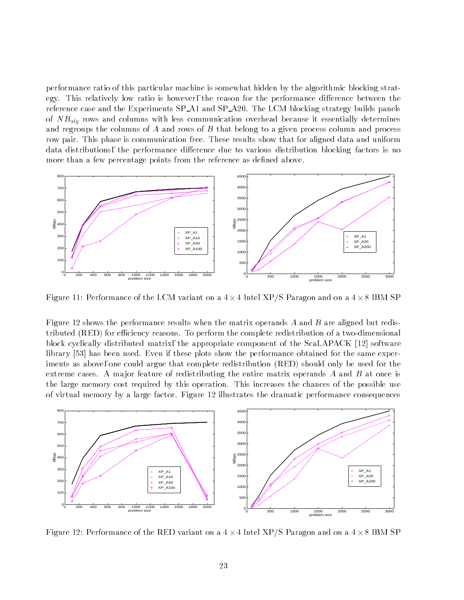performance ratio of this particular machine is somewhat hidden by the algorithmic blocking strategy. This relatively low ratio is however, the reason for the performance difference between the reference case and the Experiments SP\_A1 and SP\_A20. The LCM blocking strategy builds panels of  $NB_{alg}$  rows and columns with less communication overhead because it essentially determines and regroups the columns of A and rows of B that belong to a given process column and process row pair. This phase is communication free. These results show that for aligned data and uniform data distributions, the performance difference due to various distribution blocking factors is no more than a few percentage points from the reference as defined above.



Figure 11: Performance of the LCM variant on a 4 - 4 Intel XP/S Paragon and on a 4 - 8 IBM SP

Figure 12 shows the performance results when the matrix operands A and B are aligned but redistributed (RED) for efficiency reasons. To perform the complete redistribution of a two-dimensional block cyclically distributed matrix, the appropriate component of the ScaLAPACK [12] software library [53] has been used. Even if these plots show the performance obtained for the same experiments as above, one could argue that complete redistribution (RED) should only be used for the extreme cases. A major feature of redistributing the entire matrix operands  $A$  and  $B$  at once is the large memory cost required by this operation. This increases the chances of the possible use of virtual memory by a large factor. Figure 12 illustrates the dramatic performance consequences



Figure 12: Performance of the RED variant on a 4 - 4 Intel XP/S Paragon and on a 4 - 8 IBM SP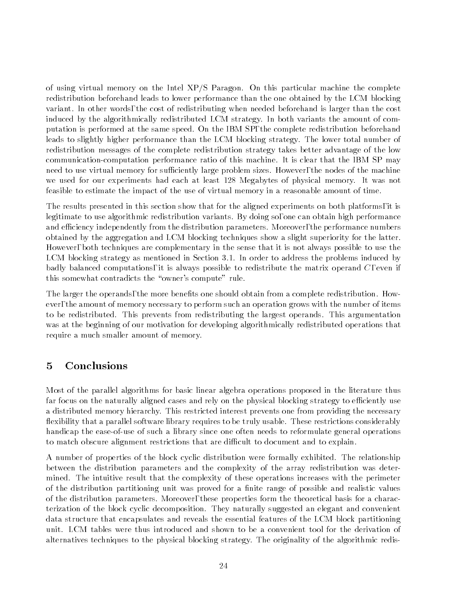of using virtual memory on the Intel XP/S Paragon. On this particular machine the complete redistribution beforehand leads to lower performance than the one obtained by the LCM blocking variant. In other words, the cost of redistributing when needed beforehand is larger than the cost induced by the algorithmically redistributed LCM strategy. In both variants the amount of computation is performed at the same speed. On the IBM SP, the complete redistribution beforehand leads to slightly higher performance than the LCM blocking strategy. The lower total number of redistribution messages of the complete redistribution strategy takes better advantage of the low communication-computation performance ratio of this machine. It is clear that the IBM SP may need to use virtual memory for sufficiently large problem sizes. However, the nodes of the machine we used for our experiments had each at least 128 Megabytes of physical memory. It was not feasible to estimate the impact of the use of virtual memory in a reasonable amount of time.

The results presented in this section show that for the aligned experiments on both platforms, it is legitimate to use algorithmic redistribution variants. By doing so, one can obtain high performance and efficiency independently from the distribution parameters. Moreover, the performance numbers obtained by the aggregation and LCM blocking techniques show a slight superiority for the latter. However, both techniques are complementary in the sense that it is not always possible to use the LCM blocking strategy as mentioned in Section 3.1. In order to address the problems induced by badly balanced computations, it is always possible to redistribute the matrix operand  $C$ , even if this somewhat contradicts the "owner's compute" rule.

The larger the operands, the more benefits one should obtain from a complete redistribution. However, the amount of memory necessary to perform such an operation grows with the number of items to be redistributed. This prevents from redistributing the largest operands. This argumentation was at the beginning of our motivation for developing algorithmically redistributed operations that require a much smaller amount of memory.

# 5 Conclusions

Most of the parallel algorithms for basic linear algebra operations proposed in the literature thus far focus on the naturally aligned cases and rely on the physical blocking strategy to efficiently use a distributed memory hierarchy. This restricted interest prevents one from providing the necessary flexibility that a parallel software library requires to be truly usable. These restrictions considerably handicap the ease-of-use of such a library since one often needs to reformulate general operations to match obscure alignment restrictions that are difficult to document and to explain.

A number of properties of the block cyclic distribution were formally exhibited. The relationship between the distribution parameters and the complexity of the array redistribution was determined. The intuitive result that the complexity of these operations increases with the perimeter of the distribution partitioning unit was proved for a finite range of possible and realistic values of the distribution parameters. Moreover, these properties form the theoretical basis for a characterization of the block cyclic decomposition. They naturally suggested an elegant and convenient data structure that encapsulates and reveals the essential features of the LCM block partitioning unit. LCM tables were thus introduced and shown to be a convenient tool for the derivation of alternatives techniques to the physical blocking strategy. The originality of the algorithmic redis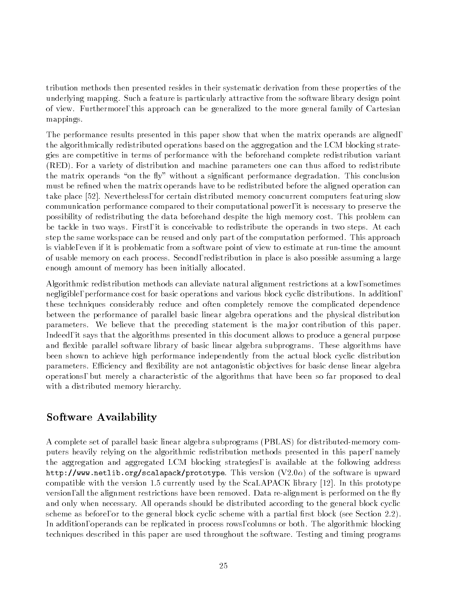tribution methods then presented resides in their systematic derivation from these properties of the underlying mapping. Such a feature is particularly attractive from the software library design point of view. Furthermore, this approach can be generalized to the more general family of Cartesian mappings.

The performance results presented in this paper show that when the matrix operands are aligned, the algorithmically redistributed operations based on the aggregation and the LCM blocking strategies are competitive in terms of performance with the beforehand complete redistribution variant  $(RED)$ . For a variety of distribution and machine parameters one can thus afford to redistribute the matrix operands "on the fly" without a significant performance degradation. This conclusion must be refined when the matrix operands have to be redistributed before the aligned operation can take place [52]. Nevertheless, for certain distributed memory concurrent computers featuring slow communication performance compared to their computational power, it is necessary to preserve the possibility of redistributing the data beforehand despite the high memory cost. This problem can be tackle in two ways. First, it is conceivable to redistribute the operands in two steps. At each step the same workspace can be reused and only part of the computation performed. This approach is viable, even if it is problematic from a software point of view to estimate at run-time the amount of usable memory on each process. Second, redistribution in place is also possible assuming a large enough amount of memory has been initially allocated.

Algorithmic redistribution methods can alleviate natural alignment restrictions at a low, sometimes negligible, performance cost for basic operations and various block cyclic distributions. In addition, these techniques considerably reduce and often completely remove the complicated dependence between the performance of parallel basic linear algebra operations and the physical distribution parameters. We believe that the preceding statement is the ma jor contribution of this paper. Indeed, it says that the algorithms presented in this document allows to produce a general purpose and flexible parallel software library of basic linear algebra subprograms. These algorithms have been shown to achieve high performance independently from the actual block cyclic distribution parameters. Efficiency and flexibility are not antagonistic objectives for basic dense linear algebra operations, but merely a characteristic of the algorithms that have been so far proposed to deal with a distributed memory hierarchy.

# Software Availability

A complete set of parallel basic linear algebra subprograms (PBLAS) for distributed-memory computers heavily relying on the algorithmic redistribution methods presented in this paper, namely the aggregation and aggregated LCM blocking strategies, is available at the following address http://www.netlib.org/scalapack/prototype. This version  $(V2.0\alpha)$  of the software is upward compatible with the version 1.5 currently used by the ScaLAPACK library [12]. In this prototype version, all the alignment restrictions have been removed. Data re-alignment is performed on the fly and only when necessary. All operands should be distributed according to the general block cyclic scheme as before, or to the general block cyclic scheme with a partial first block (see Section 2.2). In addition, operands can be replicated in process rows, columns or both. The algorithmic blocking techniques described in this paper are used throughout the software. Testing and timing programs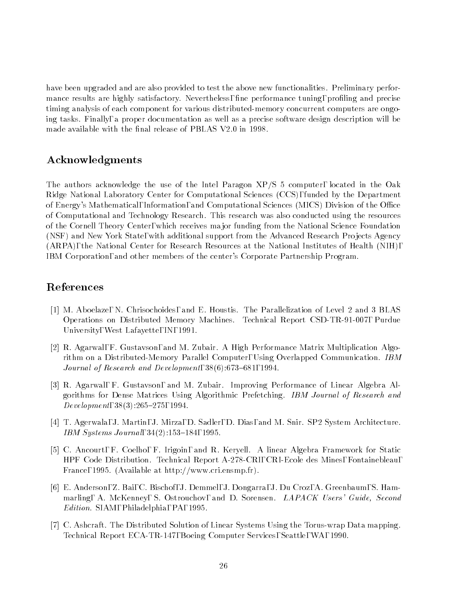have been upgraded and are also provided to test the above new functionalities. Preliminary performance results are highly satisfactory. Nevertheless, fine performance tuning, profiling and precise timing analysis of each component for various distributed-memory concurrent computers are ongoing tasks. Finally, a proper documentation as well as a precise software design description will be made available with the final release of PBLAS V2.0 in 1998.

# Acknowledgments

The authors acknowledge the use of the Intel Paragon XP/S 5 computer, located in the Oak Ridge National Laboratory Center for Computational Sciences (CCS), funded by the Department of Energy's Mathematical, Information, and Computational Sciences (MICS) Division of the Office of Computational and Technology Research. This research was also conducted using the resources of the Cornell Theory Center, which receives ma jor funding from the National Science Foundation (NSF) and New York State, with additional support from the Advanced Research Projects Agency (ARPA), the National Center for Research Resources at the National Institutes of Health (NIH), IBM Corporation, and other members of the center's Corporate Partnership Program.

# References

- [1] M. Aboelaze, N. Chrisochoides, and E. Houstis. The Parallelization of Level 2 and 3 BLAS Operations on Distributed Memory Machines. Technical Report CSD-TR-91-007, Purdue University, West Lafayette, IN, 1991.
- [2] R. Agarwal, F. Gustavson, and M. Zubair. A High Performance Matrix Multiplication Algorithm on a Distributed-Memory Parallel Computer, Using Overlapped Communication. IBM Journal of Research and Development,  $38(6)$ :673-681, 1994.
- [3] R. Agarwal, F. Gustavson, and M. Zubair. Improving Performance of Linear Algebra Algorithms for Dense Matrices Using Algorithmic Prefetching. IBM Journal of Research and Development,  $38(3):265{-}275, 1994$ .
- [4] T. Agerwala, J. Martin, J. Mirza, D. Sadler, D. Dias, and M. Snir. SP2 System Architecture. IBM Systems Journal,  $34(2):153{-}184, 1995$ .
- [5] C. Ancourt, F. Coelho, F. Irigoin, and R. Keryell. A linear Algebra Framework for Static HPF Code Distribution. Technical Report A-278-CRI, CRI-Ecole des Mines, Fontainebleau, France, 1995. (Available at http://www.cri.ensmp.fr).
- [6] E. Anderson, Z. Bai, C. Bischof, J. Demmel, J. Dongarra, J. Du Croz, A. Greenbaum, S. Hammarling, A. McKenney, S. Ostrouchov, and D. Sorensen. *LAPACK Users' Guide, Second* Edition. SIAM, Philadelphia, PA, 1995.
- [7] C. Ashcraft. The Distributed Solution of Linear Systems Using the Torus-wrap Data mapping. Technical Report ECA-TR-147, Boeing Computer Services, Seattle, WA, 1990.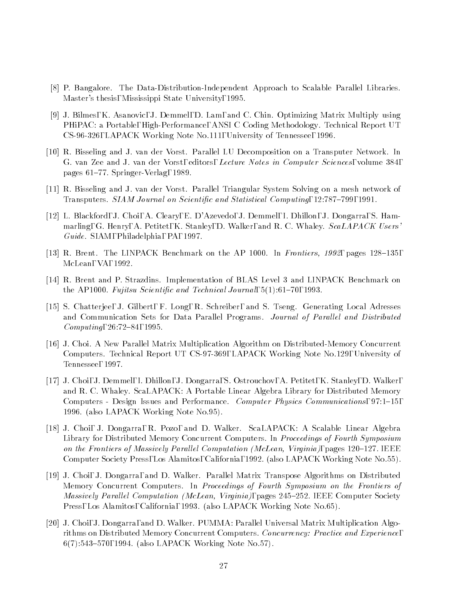- [8] P. Bangalore. The Data-Distribution-Independent Approach to Scalable Parallel Libraries. Master's thesis, Mississippi State University, 1995.
- [9] J. Bilmes, K. Asanovic, J. Demmel, D. Lam, and C. Chin. Optimizing Matrix Multiply using PHiPAC: a Portable, High-Performance, ANSI C Coding Methodology. Technical Report UT CS-96-326, LAPACK Working Note No.111, University of Tennessee, 1996.
- [10] R. Bisseling and J. van der Vorst. Parallel LU Decomposition on a Transputer Network. In G. van Zee and J. van der Vorst, editors, Lecture Notes in Computer Sciences, volume 384, pages 61-77. Springer-Verlag, 1989.
- [11] R. Bisseling and J. van der Vorst. Parallel Triangular System Solving on a mesh network of Transputers. SIAM Journal on Scientific and Statistical Computing, 12:787-799, 1991.
- [12] L. Blackford, J. Choi, A. Cleary, E. D'Azevedo, J. Demmel, I. Dhillon, J. Dongarra, S. Hammarling, G. Henry, A. Petitet, K. Stanley, D. Walker, and R. C. Whaley. ScaLAPACK Users' Guide. SIAM, Philadelphia, PA, 1997.
- [13] R. Brent. The LINPACK Benchmark on the AP 1000. In Frontiers, 1992, pages 128–135, McLean, VA, 1992.
- [14] R. Brent and P. Strazdins. Implementation of BLAS Level 3 and LINPACK Benchmark on the AP1000. Fujitsu Scientific and Technical Journal,  $5(1)$ :61-70, 1993.
- [15] S. Chatterjee, J. Gilbert, F. Long, R. Schreiber, and S. Tseng. Generating Local Adresses and Communication Sets for Data Parallel Programs. Journal of Parallel and Distributed  $Computing, 26:72–84, 1995.$
- [16] J. Choi. A New Parallel Matrix Multiplication Algorithm on Distributed-Memory Concurrent Computers. Technical Report UT CS-97-369, LAPACK Working Note No.129, University of Tennessee, 1997.
- [17] J. Choi, J. Demmel, I. Dhillon, J. Dongarra, S. Ostrouchov, A. Petitet, K. Stanley, D. Walker, and R. C. Whaley. ScaLAPACK: A Portable Linear Algebra Library for Distributed Memory Computers - Design Issues and Performance. *Computer Physics Communications*, 97:1–15, 1996. (also LAPACK Working Note No.95).
- [18] J. Choi, J. Dongarra, R. Pozo, and D. Walker. ScaLAPACK: A Scalable Linear Algebra Library for Distributed Memory Concurrent Computers. In *Proceedings of Fourth Symposium* on the Frontiers of Massively Parallel Computation (McLean, Virginia), pages  $120{-}127$ . IEEE Computer Society Press, Los Alamitos, California, 1992. (also LAPACK Working Note No.55).
- [19] J. Choi, J. Dongarra, and D. Walker. Parallel Matrix Transpose Algorithms on Distributed Memory Concurrent Computers. In Proceedings of Fourth Symposium on the Frontiers of Massively Parallel Computation (McLean, Virginia), pages 245-252. IEEE Computer Society Press, Los Alamitos, California, 1993. (also LAPACK Working Note No.65).
- [20] J. Choi, J. Dongarra, and D. Walker. PUMMA: Parallel Universal Matrix Multiplication Algorithms on Distributed Memory Concurrent Computers. Concurrency: Practice and Experience, 6(7):543-570, 1994. (also LAPACK Working Note No.57).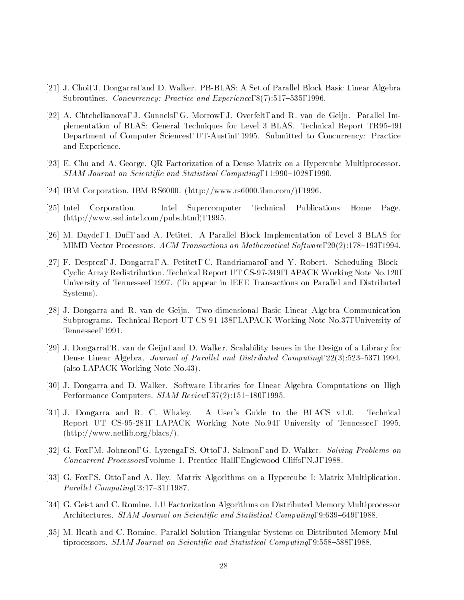- [21] J. Choi, J. Dongarra, and D. Walker. PB-BLAS: A Set of Parallel Block Basic Linear Algebra Subroutines. Concurrency: Practice and Experience,  $8(7)$ :517-535, 1996.
- [22] A. Chtchelkanova, J. Gunnels, G. Morrow, J. Overfelt, and R. van de Geijn. Parallel Implementation of BLAS: General Techniques for Level 3 BLAS. Technical Report TR95-49, Department of Computer Sciences, UT-Austin, 1995. Submitted to Concurrency: Practice and Experience.
- [23] E. Chu and A. George. QR Factorization of a Dense Matrix on a Hypercube Multiprocessor. SIAM Journal on Scientific and Statistical Computing, 11:990-1028, 1990.
- [24] IBM Corporation. IBM RS6000. (http://www.rs6000.ibm.com/), 1996.
- [25] Intel Corporation. Intel Supercomputer Technical Publications Home Page. (http://www.ssd.intel.com/pubs.html), 1995.
- [26] M. Dayde, I. Duff, and A. Petitet. A Parallel Block Implementation of Level 3 BLAS for MIMD Vector Processors. ACM Transactions on Mathematical Software, 20(2):178-193, 1994.
- [27] F. Desprez, J. Dongarra, A. Petitet, C. Randriamaro, and Y. Robert. Scheduling Block-Cyclic Array Redistribution. Technical Report UT CS-97-349, LAPACK Working Note No.120, University of Tennessee, 1997. (To appear in IEEE Transactions on Parallel and Distributed Systems).
- [28] J. Dongarra and R. van de Geijn. Two dimensional Basic Linear Algebra Communication Subprograms. Technical Report UT CS-91-138, LAPACK Working Note No.37, University of Tennessee, 1991.
- [29] J. Dongarra, R. van de Geijn, and D. Walker. Scalability Issues in the Design of a Library for Dense Linear Algebra. Journal of Parallel and Distributed Computing, 22(3):523-537, 1994. (also LAPACK Working Note No.43).
- [30] J. Dongarra and D. Walker. Software Libraries for Linear Algebra Computations on High Performance Computers.  $SIAM$  Review,  $37(2):151{-}180$ , 1995.
- [31] J. Dongarra and R. C. Whaley. A User's Guide to the BLACS v1.0. Technical Report UT CS-95-281, LAPACK Working Note No.94, University of Tennessee, 1995. (http://www.netlib.org/blacs/).
- [32] G. Fox, M. Johnson, G. Lyzenga, S. Otto, J. Salmon, and D. Walker. Solving Problems on Concurrent Processors, volume 1. Prentice Hall, Englewood Cliffs, N.J, 1988.
- [33] G. Fox, S. Otto, and A. Hey. Matrix Algorithms on a Hypercube I: Matrix Multiplication. Parallel Computing,  $3:17-31$ , 1987.
- [34] G. Geist and C. Romine. LU Factorization Algorithms on Distributed Memory Multiprocessor Architectures. SIAM Journal on Scientific and Statistical Computing, 9:639-649, 1988.
- [35] M. Heath and C. Romine. Parallel Solution Triangular Systems on Distributed Memory Multiprocessors.  $SIAM$  Journal on Scientific and Statistical Computing, 9:558-588, 1988.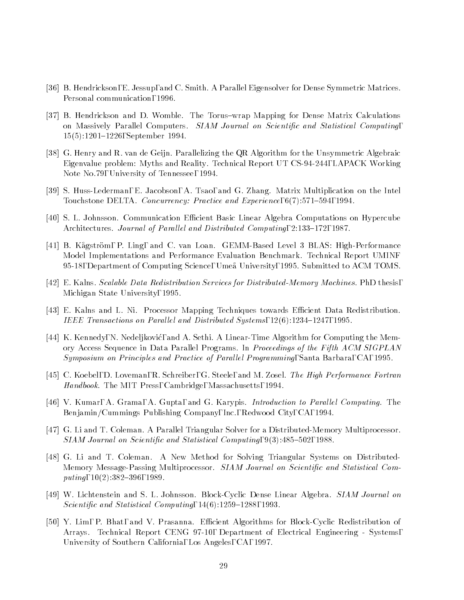- [36] B. Hendrickson, E. Jessup, and C. Smith. A Parallel Eigensolver for Dense Symmetric Matrices. Personal communication, 1996.
- [37] B. Hendrickson and D. Womble. The Torus-wrap Mapping for Dense Matrix Calculations on Massively Parallel Computers. SIAM Journal on Scientific and Statistical Computing. 15(5):1201-1226, September 1994.
- [38] G. Henry and R. van de Geijn. Parallelizing the QR Algorithm for the Unsymmetric Algebraic Eigenvalue problem: Myths and Reality. Technical Report UT CS-94-244, LAPACK Working Note No.79, University of Tennessee, 1994.
- [39] S. Huss-Lederman, E. Jacobson, A. Tsao, and G. Zhang. Matrix Multiplication on the Intel Touchstone DELTA. Concurrency: Practice and Experience, 6(7):571-594, 1994.
- [40] S. L. Johnsson. Communication Efficient Basic Linear Algebra Computations on Hypercube Architectures. Journal of Parallel and Distributed Computing, 2:133-172, 1987.
- [41] B. Kagstrom, P. Ling, and C. van Loan. GEMM-Based Level 3 BLAS: High-Performance Model Implementations and Performance Evaluation Benchmark. Technical Report UMINF 95-18, Department of Computing Science, Umea University, 1995. Submitted to ACM TOMS.
- [42] E. Kalns. Scalable Data Redistribution Services for Distributed-Memory Machines. PhD thesis, Michigan State University, 1995.
- [43] E. Kalns and L. Ni. Processor Mapping Techniques towards Efficient Data Redistribution. IEEE Transactions on Parallel and Distributed Systems,  $12(6)$ :1234-1247, 1995.
- [44] K. Kennedy, N. Nedeljkovic, and A. Sethi. A Linear-Time Algorithm for Computing the Memory Access Sequence in Data Parallel Programs. In Proceedings of the Fifth ACM SIGPLAN Symposium on Principles and Practice of Parallel Programming, Santa Barbara, CA, 1995.
- [45] C. Koebel, D. Loveman, R. Schreiber, G. Steele, and M. Zosel. The High Performance Fortran Handbook. The MIT Press, Cambridge, Massachusetts, 1994.
- [46] V. Kumar, A. Grama, A. Gupta, and G. Karypis. *Introduction to Parallel Computing*. The Benjamin/Cummings Publishing Company, Inc., Redwood City, CA, 1994.
- [47] G. Li and T. Coleman. A Parallel Triangular Solver for a Distributed-Memory Multiprocessor.  $SIAM Journal$  on Scientific and Statistical Computing,  $9(3):485{-}502$ , 1988.
- [48] G. Li and T. Coleman. A New Method for Solving Triangular Systems on Distributed-Memory Message-Passing Multiprocessor. SIAM Journal on Scientific and Statistical Computing,  $10(2)$ :382-396, 1989.
- [49] W. Lichtenstein and S. L. Johnsson. Block-Cyclic Dense Linear Algebra. SIAM Journal on Scientific and Statistical Computing,  $14(6):1259{-}1288$ , 1993.
- [50] Y. Lim, P. Bhat, and V. Prasanna. Efficient Algorithms for Block-Cyclic Redistribution of Arrays. Technical Report CENG 97-10, Department of Electrical Engineering - Systems, University of Southern California, Los Angeles, CA, 1997.